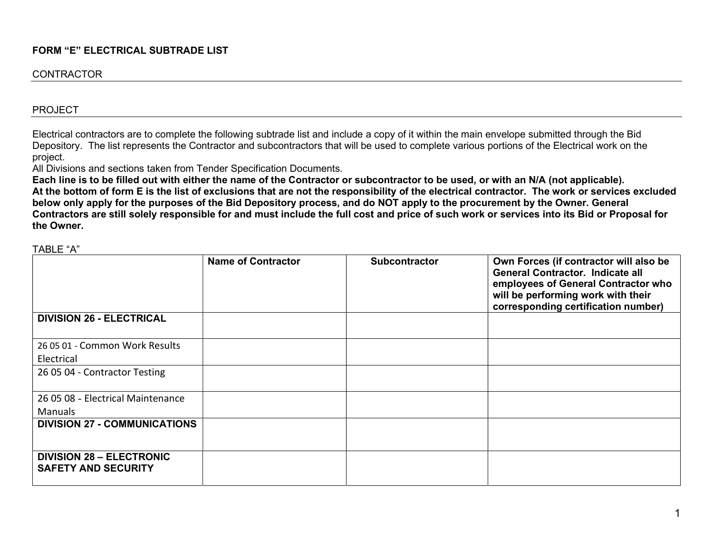## FORM "E" ELECTRICAL SUBTRADE LIST

#### **CONTRACTOR**

#### PROJECT

Electrical contractors are to complete the following subtrade list and include a copy of it within the main envelope submitted through the Bid Depository. The list represents the Contractor and subcontractors that will be used to complete various portions of the Electrical work on the project.

All Divisions and sections taken from Tender Specification Documents.

Each line is to be filled out with either the name of the Contractor or subcontractor to be used, or with an N/A (not applicable). At the bottom of form E is the list of exclusions that are not the responsibility of the electrical contractor. The work or services excluded below only apply for the purposes of the Bid Depository process, and do NOT apply to the procurement by the Owner. General Contractors are still solely responsible for and must include the full cost and price of such work or services into its Bid or Proposal for the Owner.

TABLE "A"

|                                                               | <b>Name of Contractor</b> | <b>Subcontractor</b> | Own Forces (if contractor will also be<br><b>General Contractor. Indicate all</b><br>employees of General Contractor who<br>will be performing work with their<br>corresponding certification number) |
|---------------------------------------------------------------|---------------------------|----------------------|-------------------------------------------------------------------------------------------------------------------------------------------------------------------------------------------------------|
| <b>DIVISION 26 - ELECTRICAL</b>                               |                           |                      |                                                                                                                                                                                                       |
| 26 05 01 - Common Work Results                                |                           |                      |                                                                                                                                                                                                       |
| Electrical                                                    |                           |                      |                                                                                                                                                                                                       |
| 26 05 04 - Contractor Testing                                 |                           |                      |                                                                                                                                                                                                       |
| 26 05 08 - Electrical Maintenance                             |                           |                      |                                                                                                                                                                                                       |
| <b>Manuals</b>                                                |                           |                      |                                                                                                                                                                                                       |
| <b>DIVISION 27 - COMMUNICATIONS</b>                           |                           |                      |                                                                                                                                                                                                       |
| <b>DIVISION 28 - ELECTRONIC</b><br><b>SAFETY AND SECURITY</b> |                           |                      |                                                                                                                                                                                                       |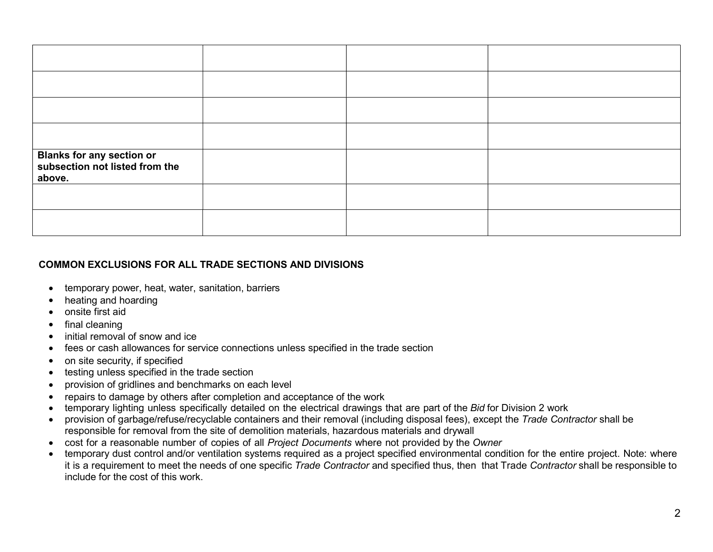| <b>Blanks for any section or<br/>subsection not listed from the</b><br>above. |  |  |
|-------------------------------------------------------------------------------|--|--|
|                                                                               |  |  |
|                                                                               |  |  |

# COMMON EXCLUSIONS FOR ALL TRADE SECTIONS AND DIVISIONS

- temporary power, heat, water, sanitation, barriers
- heating and hoarding
- onsite first aid
- final cleaning
- initial removal of snow and ice
- fees or cash allowances for service connections unless specified in the trade section
- on site security, if specified
- testing unless specified in the trade section
- provision of gridlines and benchmarks on each level
- repairs to damage by others after completion and acceptance of the work
- temporary lighting unless specifically detailed on the electrical drawings that are part of the Bid for Division 2 work
- provision of garbage/refuse/recyclable containers and their removal (including disposal fees), except the Trade Contractor shall be responsible for removal from the site of demolition materials, hazardous materials and drywall
- cost for a reasonable number of copies of all Project Documents where not provided by the Owner
- temporary dust control and/or ventilation systems required as a project specified environmental condition for the entire project. Note: where it is a requirement to meet the needs of one specific Trade Contractor and specified thus, then that Trade Contractor shall be responsible to include for the cost of this work.